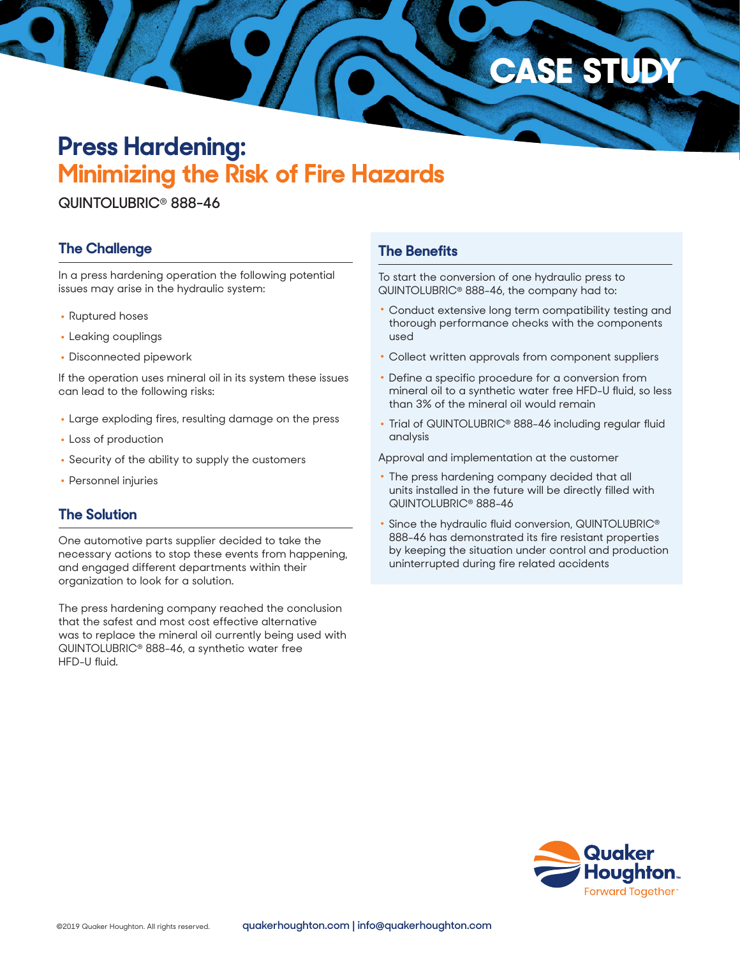# **Press Hardening: Minimizing the Risk of Fire Hazards**

**QUINTOLUBRIC**® **888-46**

## **The Challenge**

In a press hardening operation the following potential issues may arise in the hydraulic system:

- Ruptured hoses
- Leaking couplings
- Disconnected pipework

If the operation uses mineral oil in its system these issues can lead to the following risks:

- Large exploding fires, resulting damage on the press
- Loss of production
- Security of the ability to supply the customers
- Personnel injuries

#### **The Solution**

One automotive parts supplier decided to take the necessary actions to stop these events from happening, and engaged different departments within their organization to look for a solution.

The press hardening company reached the conclusion that the safest and most cost effective alternative was to replace the mineral oil currently being used with QUINTOLUBRIC® 888-46, a synthetic water free HFD-U fluid.

#### **The Benefits**

To start the conversion of one hydraulic press to QUINTOLUBRIC® 888-46, the company had to:

• Conduct extensive long term compatibility testing and thorough performance checks with the components used

**CASE STUD** 

- Collect written approvals from component suppliers
- Define a specific procedure for a conversion from mineral oil to a synthetic water free HFD-U fluid, so less than 3% of the mineral oil would remain
- Trial of QUINTOLUBRIC® 888-46 including regular fluid analysis

Approval and implementation at the customer

- The press hardening company decided that all units installed in the future will be directly filled with QUINTOLUBRIC® 888-46
- Since the hydraulic fluid conversion, QUINTOLUBRIC® 888-46 has demonstrated its fire resistant properties by keeping the situation under control and production uninterrupted during fire related accidents